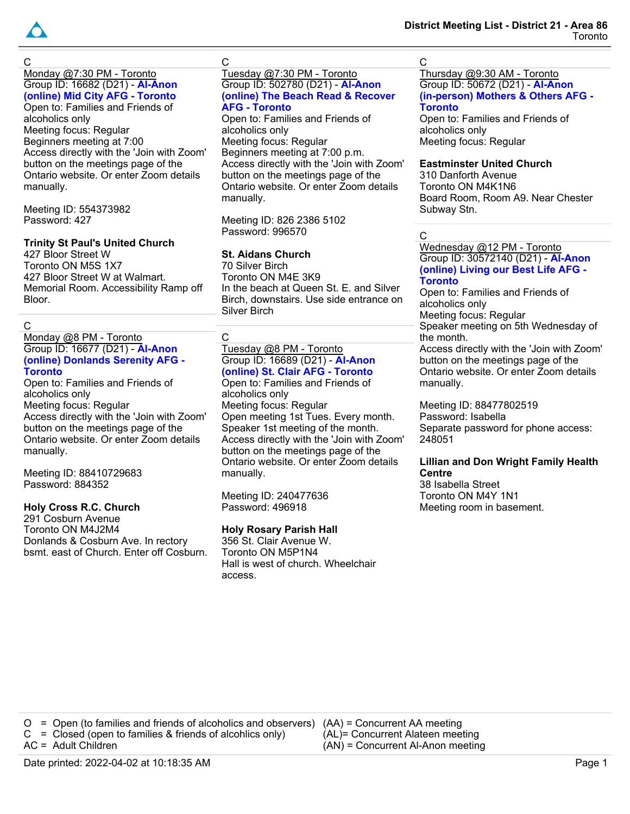

C

Monday @7:30 PM - Toronto Group ID: 16682 (D21) - **Al-Anon (online) Mid City AFG - Toronto** Open to: Families and Friends of alcoholics only Meeting focus: Regular Beginners meeting at 7:00 Access directly with the 'Join with Zoom' button on the meetings page of the Ontario website. Or enter Zoom details manually.

Meeting ID: 554373982 Password: 427

# **Trinity St Paul's United Church**

427 Bloor Street W Toronto ON M5S 1X7 427 Bloor Street W at Walmart. Memorial Room. Accessibility Ramp off Bloor.

#### C

Monday @8 PM - Toronto Group ID: 16677 (D21) - **Al-Anon (online) Donlands Serenity AFG - Toronto**

Open to: Families and Friends of alcoholics only Meeting focus: Regular Access directly with the 'Join with Zoom' button on the meetings page of the Ontario website. Or enter Zoom details manually.

Meeting ID: 88410729683 Password: 884352

## **Holy Cross R.C. Church**

291 Cosburn Avenue Toronto ON M4J2M4 Donlands & Cosburn Ave. In rectory bsmt. east of Church. Enter off Cosburn.

# C

#### Tuesday @7:30 PM - Toronto Group ID: 502780 (D21) - **Al-Anon (online) The Beach Read & Recover AFG - Toronto**

Open to: Families and Friends of alcoholics only Meeting focus: Regular Beginners meeting at 7:00 p.m. Access directly with the 'Join with Zoom' button on the meetings page of the Ontario website. Or enter Zoom details manually.

Meeting ID: 826 2386 5102 Password: 996570

## **St. Aidans Church**

70 Silver Birch Toronto ON M4E 3K9 In the beach at Queen St. E. and Silver Birch, downstairs. Use side entrance on Silver Birch

# C

#### Tuesday @8 PM - Toronto Group ID: 16689 (D21) - **Al-Anon (online) St. Clair AFG - Toronto**

Open to: Families and Friends of alcoholics only Meeting focus: Regular Open meeting 1st Tues. Every month. Speaker 1st meeting of the month. Access directly with the 'Join with Zoom' button on the meetings page of the Ontario website. Or enter Zoom details manually.

Meeting ID: 240477636 Password: 496918

## **Holy Rosary Parish Hall**

356 St. Clair Avenue W. Toronto ON M5P1N4 Hall is west of church. Wheelchair access.

#### C

#### Thursday @9:30 AM - Toronto Group ID: 50672 (D21) - **Al-Anon (in-person) Mothers & Others AFG - Toronto**

Open to: Families and Friends of alcoholics only Meeting focus: Regular

# **Eastminster United Church**

310 Danforth Avenue Toronto ON M4K1N6 Board Room, Room A9. Near Chester Subway Stn.

### C

Wednesday @12 PM - Toronto Group ID: 30572140 (D21) - **Al-Anon (online) Living our Best Life AFG - Toronto**

Open to: Families and Friends of alcoholics only Meeting focus: Regular

Speaker meeting on 5th Wednesday of the month.

Access directly with the 'Join with Zoom' button on the meetings page of the Ontario website. Or enter Zoom details manually.

Meeting ID: 88477802519 Password: Isabella Separate password for phone access: 248051

#### **Lillian and Don Wright Family Health Centre**

38 Isabella Street Toronto ON M4Y 1N1 Meeting room in basement.